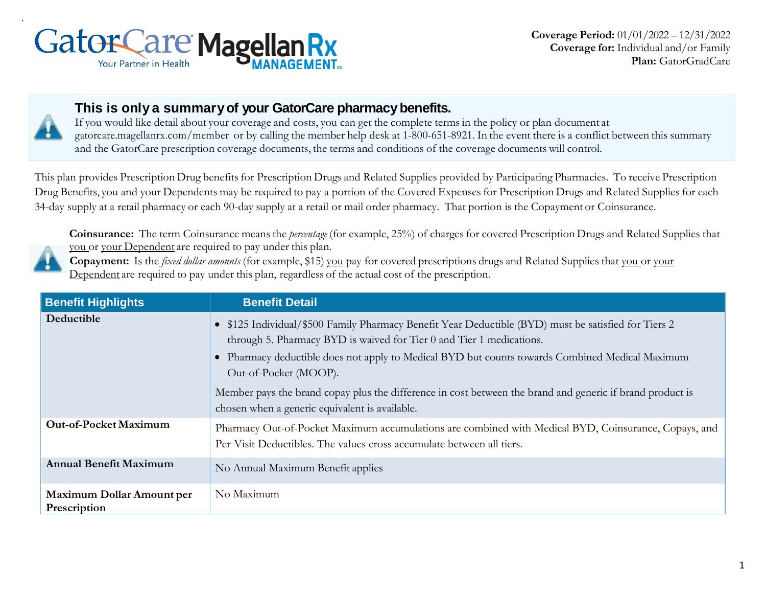



### **This is only a summary of your GatorCare pharmacy benefits.**

If you would like detail about your coverage and costs, you can get the complete terms in the policy or plan document at gatorcare.magellanrx.com/member or by calling the member help desk at 1-800-651-8921. In the event there is a conflict between this summary and the GatorCare prescription coverage documents, the terms and conditions of the coverage documents will control.

This plan provides Prescription Drug benefits for Prescription Drugs and Related Supplies provided by Participating Pharmacies. To receive Prescription Drug Benefits, you and your Dependents may be required to pay a portion of the Covered Expenses for Prescription Drugs and Related Supplies for each 34-day supply at a retail pharmacy or each 90-day supply at a retail or mail order pharmacy. That portion is the Copayment or Coinsurance.

**Coinsurance:** The term Coinsurance means the *percentage* (for example, 25%) of charges for covered Prescription Drugs and Related Supplies that you or your Dependent are required to pay under this plan.

**Copayment:** Is the *fixed dollar amounts* (for example, \$15) you pay for covered prescriptions drugs and Related Supplies that you or your Dependent are required to pay under this plan, regardless of the actual cost of the prescription.

| <b>Benefit Highlights</b>                        | <b>Benefit Detail</b>                                                                                                                                                                                                                                                                                    |  |
|--------------------------------------------------|----------------------------------------------------------------------------------------------------------------------------------------------------------------------------------------------------------------------------------------------------------------------------------------------------------|--|
| Deductible                                       | • \$125 Individual/\$500 Family Pharmacy Benefit Year Deductible (BYD) must be satisfied for Tiers 2<br>through 5. Pharmacy BYD is waived for Tier 0 and Tier 1 medications.<br>• Pharmacy deductible does not apply to Medical BYD but counts towards Combined Medical Maximum<br>Out-of-Pocket (MOOP). |  |
|                                                  | Member pays the brand copay plus the difference in cost between the brand and generic if brand product is<br>chosen when a generic equivalent is available.                                                                                                                                              |  |
| Out-of-Pocket Maximum                            | Pharmacy Out-of-Pocket Maximum accumulations are combined with Medical BYD, Coinsurance, Copays, and<br>Per-Visit Deductibles. The values cross accumulate between all tiers.                                                                                                                            |  |
| <b>Annual Benefit Maximum</b>                    | No Annual Maximum Benefit applies                                                                                                                                                                                                                                                                        |  |
| <b>Maximum Dollar Amount per</b><br>Prescription | No Maximum                                                                                                                                                                                                                                                                                               |  |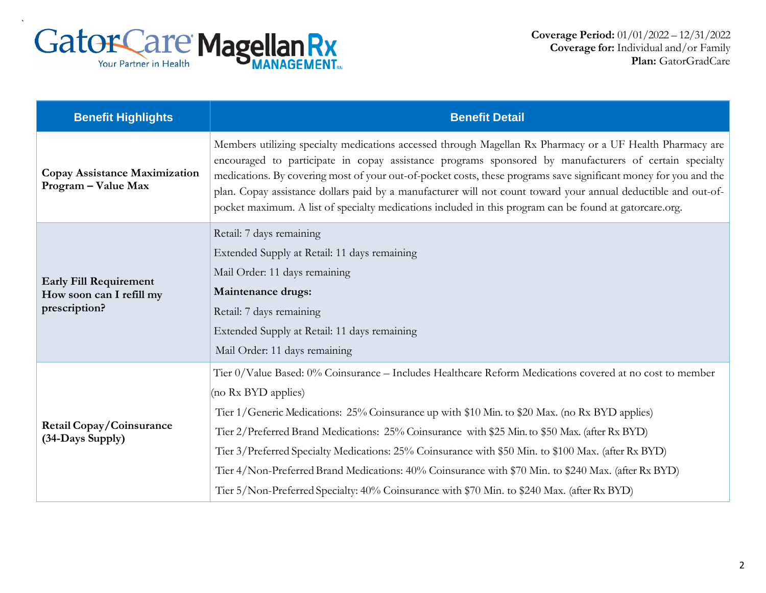

| <b>Benefit Highlights</b>                                                  | <b>Benefit Detail</b>                                                                                                                                                                                                                                                                                                                                                                                                                                                                                                                                                                                                                            |  |
|----------------------------------------------------------------------------|--------------------------------------------------------------------------------------------------------------------------------------------------------------------------------------------------------------------------------------------------------------------------------------------------------------------------------------------------------------------------------------------------------------------------------------------------------------------------------------------------------------------------------------------------------------------------------------------------------------------------------------------------|--|
| Copay Assistance Maximization<br>Program - Value Max                       | Members utilizing specialty medications accessed through Magellan Rx Pharmacy or a UF Health Pharmacy are<br>encouraged to participate in copay assistance programs sponsored by manufacturers of certain specialty<br>medications. By covering most of your out-of-pocket costs, these programs save significant money for you and the<br>plan. Copay assistance dollars paid by a manufacturer will not count toward your annual deductible and out-of-<br>pocket maximum. A list of specialty medications included in this program can be found at gatorcare.org.                                                                             |  |
| <b>Early Fill Requirement</b><br>How soon can I refill my<br>prescription? | Retail: 7 days remaining<br>Extended Supply at Retail: 11 days remaining<br>Mail Order: 11 days remaining<br><b>Maintenance drugs:</b><br>Retail: 7 days remaining<br>Extended Supply at Retail: 11 days remaining<br>Mail Order: 11 days remaining                                                                                                                                                                                                                                                                                                                                                                                              |  |
| Retail Copay/Coinsurance<br>(34-Days Supply)                               | Tier 0/Value Based: 0% Coinsurance - Includes Healthcare Reform Medications covered at no cost to member<br>(no Rx BYD applies)<br>Tier 1/Generic Medications: 25% Coinsurance up with \$10 Min. to \$20 Max. (no Rx BYD applies)<br>Tier 2/Preferred Brand Medications: 25% Coinsurance with \$25 Min. to \$50 Max. (after Rx BYD)<br>Tier 3/Preferred Specialty Medications: 25% Coinsurance with \$50 Min. to \$100 Max. (after Rx BYD)<br>Tier 4/Non-Preferred Brand Medications: 40% Coinsurance with \$70 Min. to \$240 Max. (after Rx BYD)<br>Tier 5/Non-Preferred Specialty: 40% Coinsurance with \$70 Min. to \$240 Max. (after Rx BYD) |  |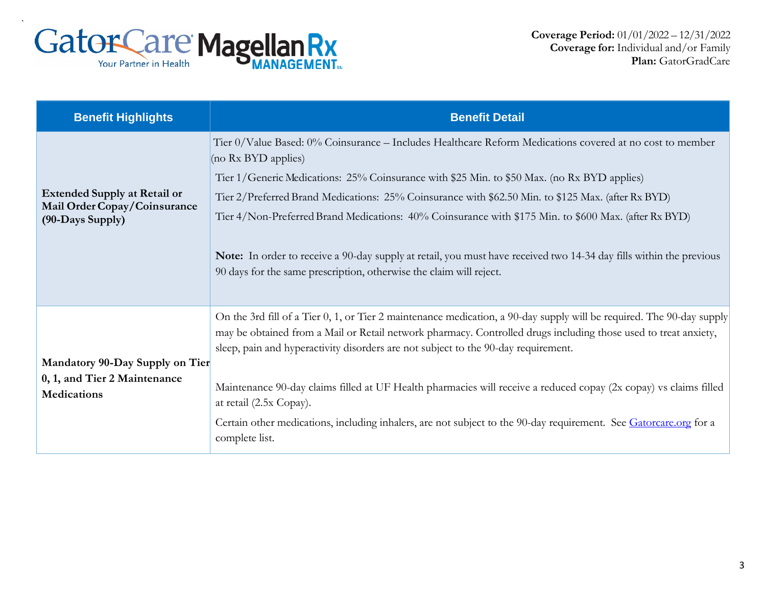

| <b>Benefit Highlights</b>                                                               | <b>Benefit Detail</b>                                                                                                                                                                                                                                                                                                                                                                                                                                                                                                                                                                                                                      |  |  |
|-----------------------------------------------------------------------------------------|--------------------------------------------------------------------------------------------------------------------------------------------------------------------------------------------------------------------------------------------------------------------------------------------------------------------------------------------------------------------------------------------------------------------------------------------------------------------------------------------------------------------------------------------------------------------------------------------------------------------------------------------|--|--|
| <b>Extended Supply at Retail or</b><br>Mail Order Copay/Coinsurance<br>(90-Days Supply) | Tier 0/Value Based: 0% Coinsurance – Includes Healthcare Reform Medications covered at no cost to member<br>(no Rx BYD applies)<br>Tier 1/Generic Medications: 25% Coinsurance with \$25 Min. to \$50 Max. (no Rx BYD applies)<br>Tier 2/Preferred Brand Medications: 25% Coinsurance with \$62.50 Min. to \$125 Max. (after Rx BYD)<br>Tier 4/Non-Preferred Brand Medications: 40% Coinsurance with \$175 Min. to \$600 Max. (after Rx BYD)<br>Note: In order to receive a 90-day supply at retail, you must have received two 14-34 day fills within the previous<br>90 days for the same prescription, otherwise the claim will reject. |  |  |
| Mandatory 90-Day Supply on Tier<br>0, 1, and Tier 2 Maintenance<br><b>Medications</b>   | On the 3rd fill of a Tier 0, 1, or Tier 2 maintenance medication, a 90-day supply will be required. The 90-day supply<br>may be obtained from a Mail or Retail network pharmacy. Controlled drugs including those used to treat anxiety,<br>sleep, pain and hyperactivity disorders are not subject to the 90-day requirement.<br>Maintenance 90-day claims filled at UF Health pharmacies will receive a reduced copay (2x copay) vs claims filled<br>at retail (2.5x Copay).<br>Certain other medications, including inhalers, are not subject to the 90-day requirement. See Gatorcare.org for a<br>complete list.                      |  |  |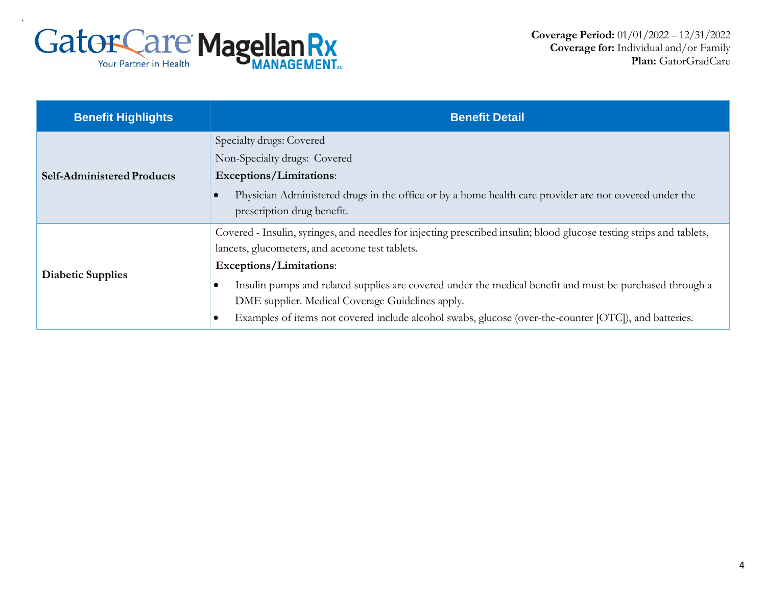

| <b>Benefit Highlights</b>         | <b>Benefit Detail</b>                                                                                                                                                                                                                                                                                                                                                                                                                                                                                 |
|-----------------------------------|-------------------------------------------------------------------------------------------------------------------------------------------------------------------------------------------------------------------------------------------------------------------------------------------------------------------------------------------------------------------------------------------------------------------------------------------------------------------------------------------------------|
| <b>Self-Administered Products</b> | Specialty drugs: Covered<br>Non-Specialty drugs: Covered<br>Exceptions/Limitations:<br>Physician Administered drugs in the office or by a home health care provider are not covered under the<br>$\bullet$<br>prescription drug benefit.                                                                                                                                                                                                                                                              |
| <b>Diabetic Supplies</b>          | Covered - Insulin, syringes, and needles for injecting prescribed insulin; blood glucose testing strips and tablets,<br>lancets, glucometers, and acetone test tablets.<br>Exceptions/Limitations:<br>Insulin pumps and related supplies are covered under the medical benefit and must be purchased through a<br>$\bullet$<br>DME supplier. Medical Coverage Guidelines apply.<br>Examples of items not covered include alcohol swabs, glucose (over-the-counter [OTC]), and batteries.<br>$\bullet$ |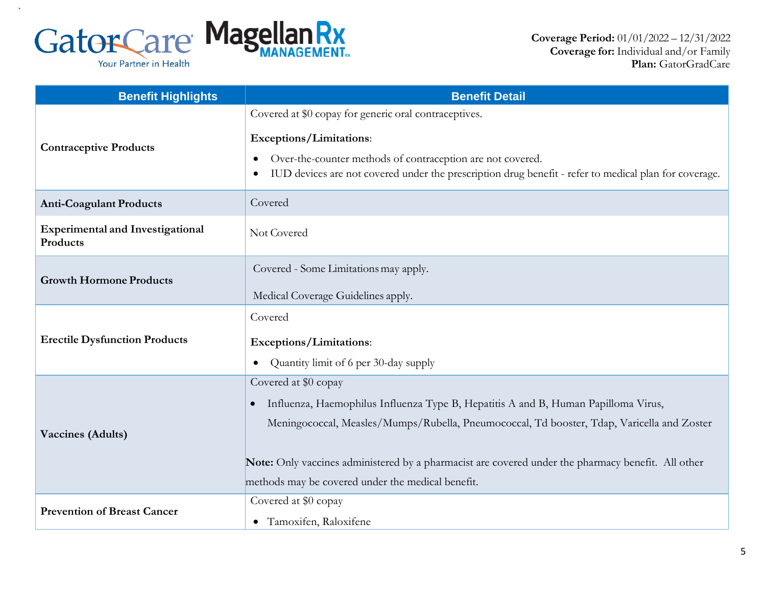

 $\ddot{\phantom{0}}$ 

| <b>Benefit Highlights</b>                           | <b>Benefit Detail</b>                                                                                 |  |
|-----------------------------------------------------|-------------------------------------------------------------------------------------------------------|--|
|                                                     | Covered at \$0 copay for generic oral contraceptives.                                                 |  |
|                                                     | Exceptions/Limitations:                                                                               |  |
| <b>Contraceptive Products</b>                       | Over-the-counter methods of contraception are not covered.                                            |  |
|                                                     | IUD devices are not covered under the prescription drug benefit - refer to medical plan for coverage. |  |
| <b>Anti-Coagulant Products</b>                      | Covered                                                                                               |  |
| <b>Experimental and Investigational</b><br>Products | Not Covered                                                                                           |  |
| <b>Growth Hormone Products</b>                      | Covered - Some Limitations may apply.                                                                 |  |
|                                                     | Medical Coverage Guidelines apply.                                                                    |  |
|                                                     | Covered                                                                                               |  |
| <b>Erectile Dysfunction Products</b>                | <b>Exceptions/Limitations:</b>                                                                        |  |
|                                                     | Quantity limit of 6 per 30-day supply<br>$\bullet$                                                    |  |
|                                                     | Covered at \$0 copay                                                                                  |  |
|                                                     | Influenza, Haemophilus Influenza Type B, Hepatitis A and B, Human Papilloma Virus,<br>$\bullet$       |  |
| <b>Vaccines (Adults)</b>                            | Meningococcal, Measles/Mumps/Rubella, Pneumococcal, Td booster, Tdap, Varicella and Zoster            |  |
|                                                     | Note: Only vaccines administered by a pharmacist are covered under the pharmacy benefit. All other    |  |
|                                                     | methods may be covered under the medical benefit.                                                     |  |
| <b>Prevention of Breast Cancer</b>                  | Covered at \$0 copay                                                                                  |  |
|                                                     | • Tamoxifen, Raloxifene                                                                               |  |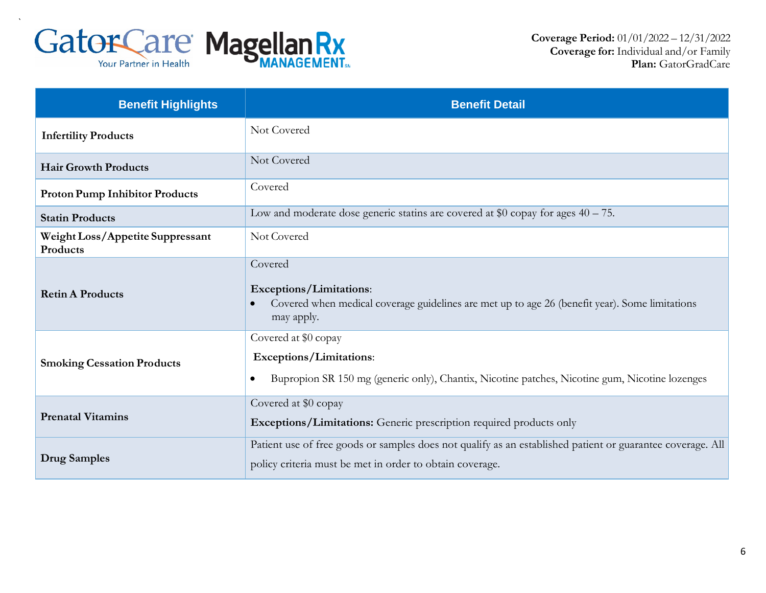

| <b>Benefit Highlights</b>                    | <b>Benefit Detail</b>                                                                                                                                                  |  |
|----------------------------------------------|------------------------------------------------------------------------------------------------------------------------------------------------------------------------|--|
| <b>Infertility Products</b>                  | Not Covered                                                                                                                                                            |  |
| <b>Hair Growth Products</b>                  | Not Covered                                                                                                                                                            |  |
| <b>Proton Pump Inhibitor Products</b>        | Covered                                                                                                                                                                |  |
| <b>Statin Products</b>                       | Low and moderate dose generic statins are covered at \$0 copay for ages $40 - 75$ .                                                                                    |  |
| Weight Loss/Appetite Suppressant<br>Products | Not Covered                                                                                                                                                            |  |
| <b>Retin A Products</b>                      | Covered<br>Exceptions/Limitations:<br>Covered when medical coverage guidelines are met up to age 26 (benefit year). Some limitations<br>may apply.                     |  |
| <b>Smoking Cessation Products</b>            | Covered at \$0 copay<br>Exceptions/Limitations:<br>Bupropion SR 150 mg (generic only), Chantix, Nicotine patches, Nicotine gum, Nicotine lozenges<br>$\bullet$         |  |
| <b>Prenatal Vitamins</b>                     | Covered at \$0 copay<br>Exceptions/Limitations: Generic prescription required products only                                                                            |  |
| <b>Drug Samples</b>                          | Patient use of free goods or samples does not qualify as an established patient or guarantee coverage. All<br>policy criteria must be met in order to obtain coverage. |  |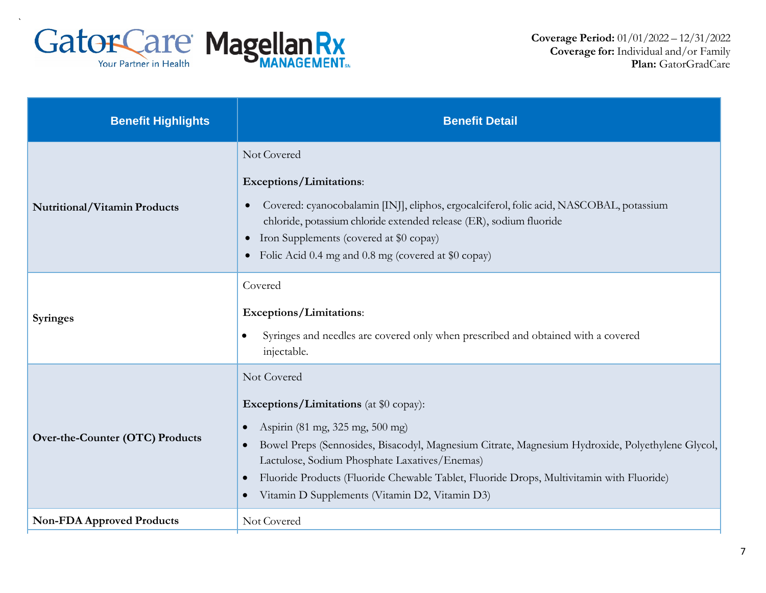

| <b>Benefit Highlights</b>        | <b>Benefit Detail</b>                                                                                                                                                                                                                                                                                                                                                                                                                                  |  |
|----------------------------------|--------------------------------------------------------------------------------------------------------------------------------------------------------------------------------------------------------------------------------------------------------------------------------------------------------------------------------------------------------------------------------------------------------------------------------------------------------|--|
| Nutritional/Vitamin Products     | Not Covered<br>Exceptions/Limitations:<br>Covered: cyanocobalamin [INJ], eliphos, ergocalciferol, folic acid, NASCOBAL, potassium<br>chloride, potassium chloride extended release (ER), sodium fluoride<br>Iron Supplements (covered at \$0 copay)<br>$\bullet$<br>• Folic Acid 0.4 mg and 0.8 mg (covered at \$0 copay)                                                                                                                              |  |
| <b>Syringes</b>                  | Covered<br>Exceptions/Limitations:<br>Syringes and needles are covered only when prescribed and obtained with a covered<br>$\bullet$<br>injectable.                                                                                                                                                                                                                                                                                                    |  |
| Over-the-Counter (OTC) Products  | Not Covered<br><b>Exceptions/Limitations</b> (at \$0 copay):<br>Aspirin (81 mg, 325 mg, 500 mg)<br>$\bullet$<br>Bowel Preps (Sennosides, Bisacodyl, Magnesium Citrate, Magnesium Hydroxide, Polyethylene Glycol,<br>$\bullet$<br>Lactulose, Sodium Phosphate Laxatives/Enemas)<br>Fluoride Products (Fluoride Chewable Tablet, Fluoride Drops, Multivitamin with Fluoride)<br>$\bullet$<br>Vitamin D Supplements (Vitamin D2, Vitamin D3)<br>$\bullet$ |  |
| <b>Non-FDA Approved Products</b> | Not Covered                                                                                                                                                                                                                                                                                                                                                                                                                                            |  |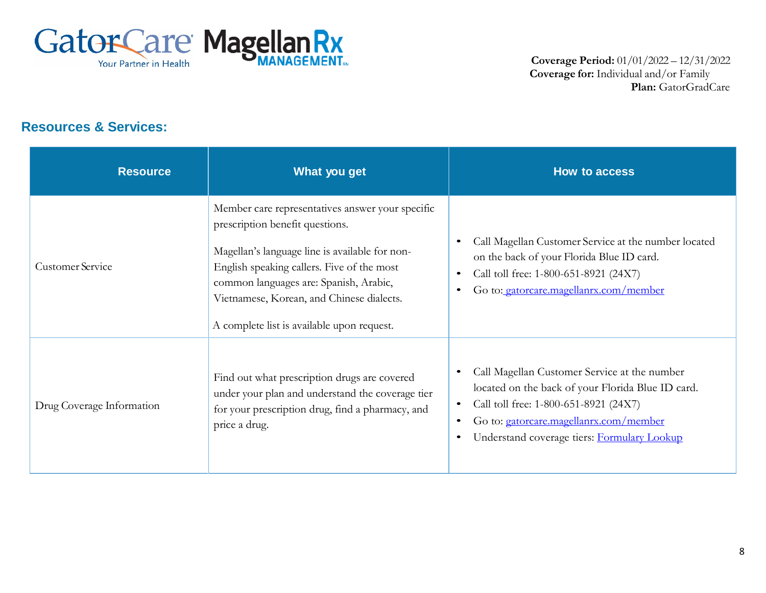

#### **Resources & Services:**

| <b>Resource</b>           | What you get                                                                                                                                                                                                                                                                                                             | <b>How to access</b>                                                                                                                                                                                                                                                                    |
|---------------------------|--------------------------------------------------------------------------------------------------------------------------------------------------------------------------------------------------------------------------------------------------------------------------------------------------------------------------|-----------------------------------------------------------------------------------------------------------------------------------------------------------------------------------------------------------------------------------------------------------------------------------------|
| <b>Customer Service</b>   | Member care representatives answer your specific<br>prescription benefit questions.<br>Magellan's language line is available for non-<br>English speaking callers. Five of the most<br>common languages are: Spanish, Arabic,<br>Vietnamese, Korean, and Chinese dialects.<br>A complete list is available upon request. | Call Magellan Customer Service at the number located<br>$\bullet$<br>on the back of your Florida Blue ID card.<br>Call toll free: 1-800-651-8921 (24X7)<br>$\bullet$<br>Go to: gatorcare.magellanrx.com/member<br>$\bullet$                                                             |
| Drug Coverage Information | Find out what prescription drugs are covered<br>under your plan and understand the coverage tier<br>for your prescription drug, find a pharmacy, and<br>price a drug.                                                                                                                                                    | Call Magellan Customer Service at the number<br>$\bullet$<br>located on the back of your Florida Blue ID card.<br>Call toll free: 1-800-651-8921 (24X7)<br>$\bullet$<br>Go to: gatorcare.magellanrx.com/member<br>$\bullet$<br>Understand coverage tiers: Formulary Lookup<br>$\bullet$ |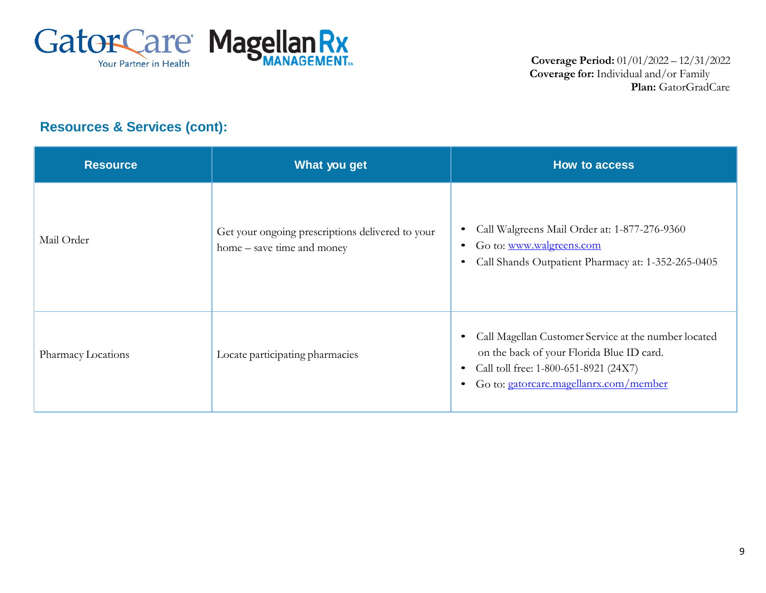

# **Resources & Services (cont):**

| <b>Resource</b>    | What you get                                                                   | How to access                                                                                                                                                                                                               |
|--------------------|--------------------------------------------------------------------------------|-----------------------------------------------------------------------------------------------------------------------------------------------------------------------------------------------------------------------------|
| Mail Order         | Get your ongoing prescriptions delivered to your<br>home – save time and money | Call Walgreens Mail Order at: 1-877-276-9360<br>$\bullet$<br>Go to: www.walgreens.com<br>$\bullet$<br>Call Shands Outpatient Pharmacy at: 1-352-265-0405<br>$\bullet$                                                       |
| Pharmacy Locations | Locate participating pharmacies                                                | Call Magellan Customer Service at the number located<br>$\bullet$<br>on the back of your Florida Blue ID card.<br>Call toll free: 1-800-651-8921 (24X7)<br>$\bullet$<br>Go to: gatorcare.magellanrx.com/member<br>$\bullet$ |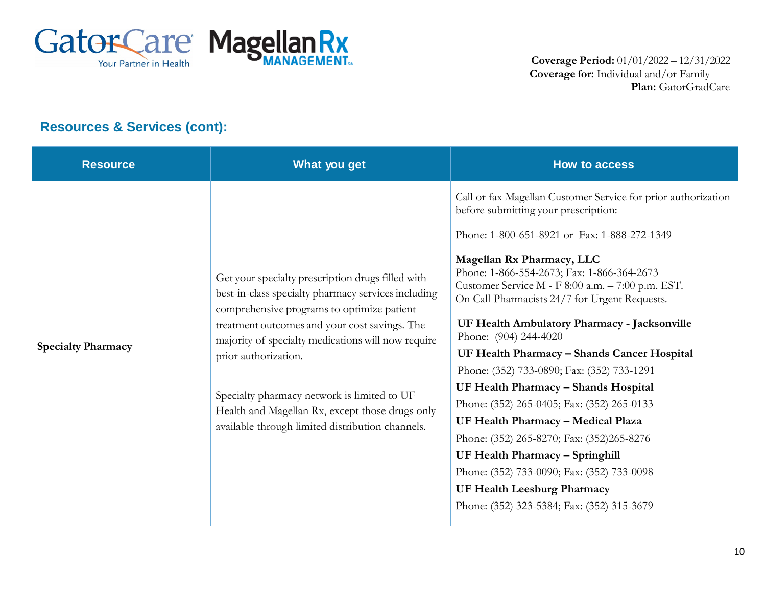

# **Resources & Services (cont):**

| <b>Resource</b>           | What you get                                                                                                                                                                                                                                                                                                                                                                                                                                | <b>How to access</b>                                                                                                                                                                                                                                                                                                                                                                                                                                                                                                                                                                                                                                                                                                                                                                                  |
|---------------------------|---------------------------------------------------------------------------------------------------------------------------------------------------------------------------------------------------------------------------------------------------------------------------------------------------------------------------------------------------------------------------------------------------------------------------------------------|-------------------------------------------------------------------------------------------------------------------------------------------------------------------------------------------------------------------------------------------------------------------------------------------------------------------------------------------------------------------------------------------------------------------------------------------------------------------------------------------------------------------------------------------------------------------------------------------------------------------------------------------------------------------------------------------------------------------------------------------------------------------------------------------------------|
| <b>Specialty Pharmacy</b> | Get your specialty prescription drugs filled with<br>best-in-class specialty pharmacy services including<br>comprehensive programs to optimize patient<br>treatment outcomes and your cost savings. The<br>majority of specialty medications will now require<br>prior authorization.<br>Specialty pharmacy network is limited to UF<br>Health and Magellan Rx, except those drugs only<br>available through limited distribution channels. | Call or fax Magellan Customer Service for prior authorization<br>before submitting your prescription:<br>Phone: 1-800-651-8921 or Fax: 1-888-272-1349<br>Magellan Rx Pharmacy, LLC<br>Phone: 1-866-554-2673; Fax: 1-866-364-2673<br>Customer Service M - F 8:00 a.m. - 7:00 p.m. EST.<br>On Call Pharmacists 24/7 for Urgent Requests.<br>UF Health Ambulatory Pharmacy - Jacksonville<br>Phone: (904) 244-4020<br>UF Health Pharmacy - Shands Cancer Hospital<br>Phone: (352) 733-0890; Fax: (352) 733-1291<br>UF Health Pharmacy - Shands Hospital<br>Phone: (352) 265-0405; Fax: (352) 265-0133<br>UF Health Pharmacy - Medical Plaza<br>Phone: (352) 265-8270; Fax: (352)265-8276<br>UF Health Pharmacy - Springhill<br>Phone: (352) 733-0090; Fax: (352) 733-0098<br>UF Health Leesburg Pharmacy |
|                           |                                                                                                                                                                                                                                                                                                                                                                                                                                             | Phone: (352) 323-5384; Fax: (352) 315-3679                                                                                                                                                                                                                                                                                                                                                                                                                                                                                                                                                                                                                                                                                                                                                            |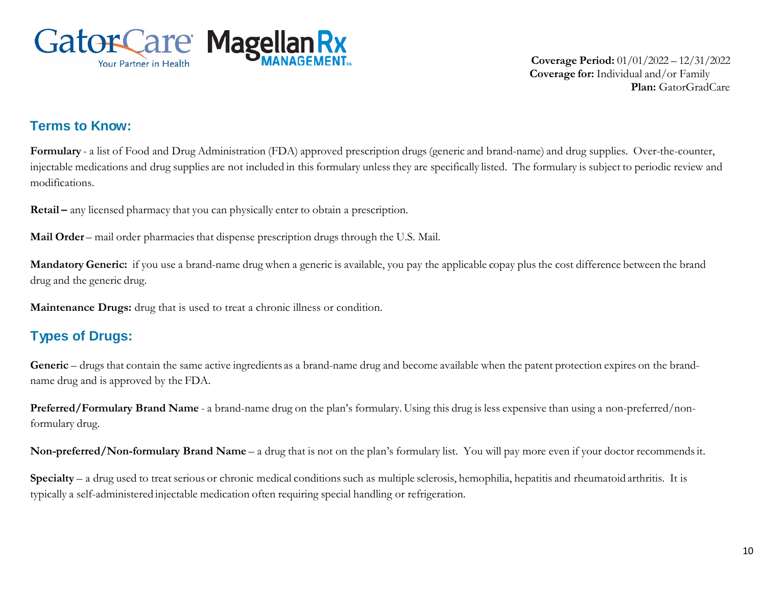

**Coverage Period:** 01/01/2022 – 12/31/2022 **Coverage for:** Individual and/or Family **Plan:** GatorGradCare

#### **Terms to Know:**

**Formulary** - a list of Food and Drug Administration (FDA) approved prescription drugs (generic and brand-name) and drug supplies. Over-the-counter, injectable medications and drug supplies are not included in this formulary unless they are specifically listed. The formulary is subject to periodic review and modifications.

**Retail –** any licensed pharmacy that you can physically enter to obtain a prescription.

**Mail Order** – mail order pharmacies that dispense prescription drugs through the U.S. Mail.

**Mandatory Generic:** if you use a brand-name drug when a generic is available, you pay the applicable copay plus the cost difference between the brand drug and the generic drug.

**Maintenance Drugs:** drug that is used to treat a chronic illness or condition.

# **Types of Drugs:**

Generic – drugs that contain the same active ingredients as a brand-name drug and become available when the patent protection expires on the brandname drug and is approved by the FDA.

**Preferred/Formulary Brand Name** - a brand-name drug on the plan's formulary. Using this drug is less expensive than using a non-preferred/nonformulary drug.

**Non-preferred/Non-formulary Brand Name** – a drug that is not on the plan's formulary list. You will pay more even if your doctor recommends it.

**Specialty** – a drug used to treat serious or chronic medical conditions such as multiple sclerosis, hemophilia, hepatitis and rheumatoid arthritis. It is typically a self-administered injectable medication often requiring special handling or refrigeration.